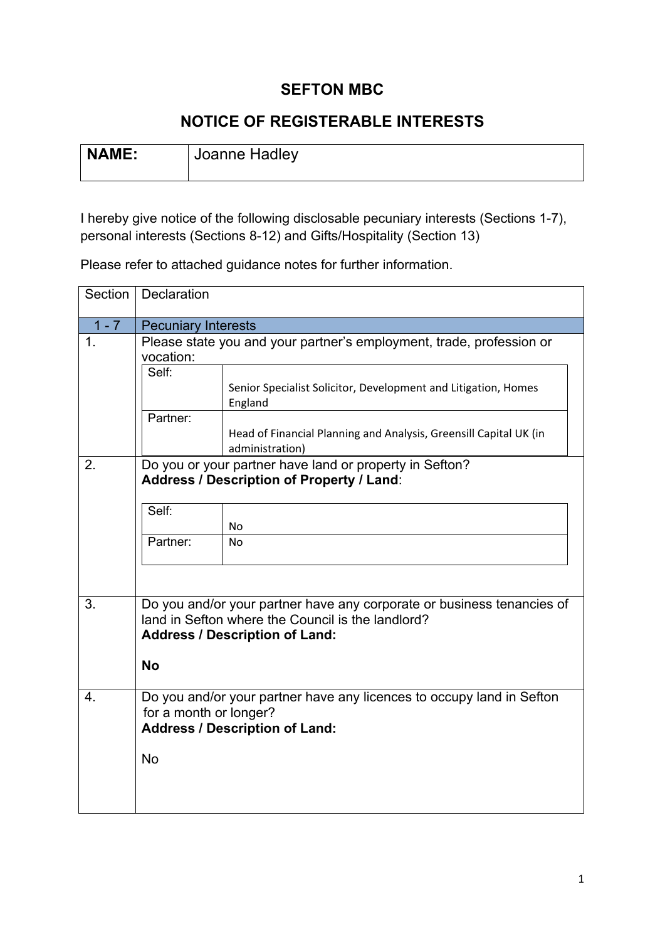# **SEFTON MBC**

# **NOTICE OF REGISTERABLE INTERESTS**

| NAME: | Joanne Hadley |
|-------|---------------|
|       |               |

I hereby give notice of the following disclosable pecuniary interests (Sections 1-7), personal interests (Sections 8-12) and Gifts/Hospitality (Section 13)

Please refer to attached guidance notes for further information.

| Section       | Declaration                                                                                                                              |                                                                                                                                                                      |  |
|---------------|------------------------------------------------------------------------------------------------------------------------------------------|----------------------------------------------------------------------------------------------------------------------------------------------------------------------|--|
| $1 - 7$       | <b>Pecuniary Interests</b>                                                                                                               |                                                                                                                                                                      |  |
| $\mathbf 1$ . | Please state you and your partner's employment, trade, profession or<br>vocation:                                                        |                                                                                                                                                                      |  |
|               | Self:                                                                                                                                    | Senior Specialist Solicitor, Development and Litigation, Homes<br>England                                                                                            |  |
|               | Partner:                                                                                                                                 | Head of Financial Planning and Analysis, Greensill Capital UK (in<br>administration)                                                                                 |  |
| 2.            | Do you or your partner have land or property in Sefton?<br>Address / Description of Property / Land:                                     |                                                                                                                                                                      |  |
|               | Self:                                                                                                                                    | <b>No</b>                                                                                                                                                            |  |
|               | Partner:                                                                                                                                 | No                                                                                                                                                                   |  |
|               |                                                                                                                                          |                                                                                                                                                                      |  |
| 3.            |                                                                                                                                          | Do you and/or your partner have any corporate or business tenancies of<br>land in Sefton where the Council is the landlord?<br><b>Address / Description of Land:</b> |  |
|               | <b>No</b>                                                                                                                                |                                                                                                                                                                      |  |
| 4.            | Do you and/or your partner have any licences to occupy land in Sefton<br>for a month or longer?<br><b>Address / Description of Land:</b> |                                                                                                                                                                      |  |
|               | <b>No</b>                                                                                                                                |                                                                                                                                                                      |  |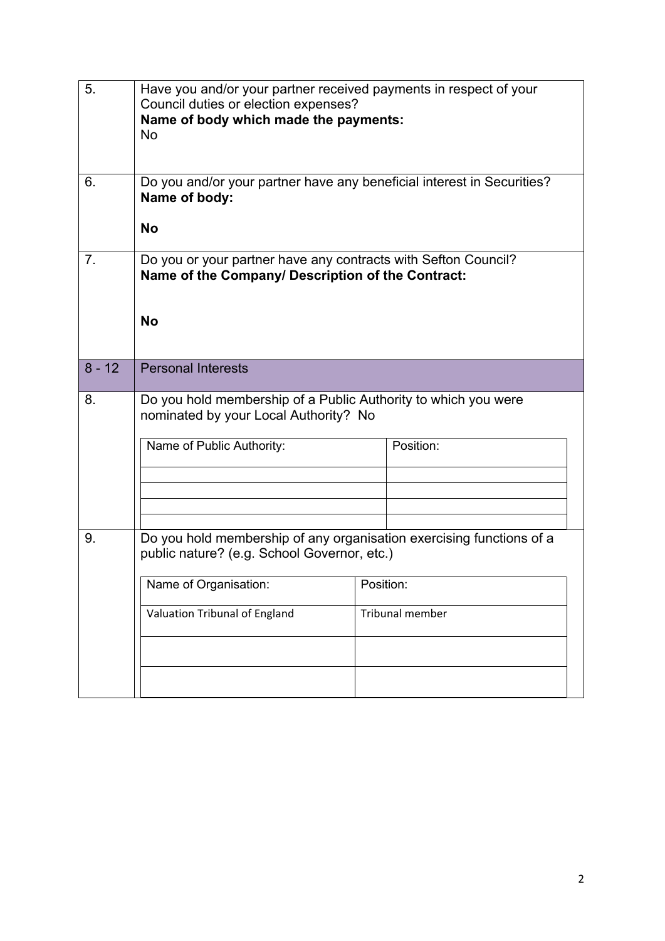| 5.       | Have you and/or your partner received payments in respect of your<br>Council duties or election expenses?<br>Name of body which made the payments:<br><b>No</b> |           |                 |  |
|----------|-----------------------------------------------------------------------------------------------------------------------------------------------------------------|-----------|-----------------|--|
| 6.       | Do you and/or your partner have any beneficial interest in Securities?<br>Name of body:                                                                         |           |                 |  |
|          | <b>No</b>                                                                                                                                                       |           |                 |  |
| 7.       | Do you or your partner have any contracts with Sefton Council?<br>Name of the Company/ Description of the Contract:                                             |           |                 |  |
|          | <b>No</b>                                                                                                                                                       |           |                 |  |
| $8 - 12$ | <b>Personal Interests</b>                                                                                                                                       |           |                 |  |
| 8.       | Do you hold membership of a Public Authority to which you were<br>nominated by your Local Authority? No                                                         |           |                 |  |
|          | Name of Public Authority:                                                                                                                                       |           | Position:       |  |
|          |                                                                                                                                                                 |           |                 |  |
| 9.       | Do you hold membership of any organisation exercising functions of a                                                                                            |           |                 |  |
|          | public nature? (e.g. School Governor, etc.)                                                                                                                     |           |                 |  |
|          | Name of Organisation:                                                                                                                                           | Position: |                 |  |
|          | Valuation Tribunal of England                                                                                                                                   |           | Tribunal member |  |
|          |                                                                                                                                                                 |           |                 |  |
|          |                                                                                                                                                                 |           |                 |  |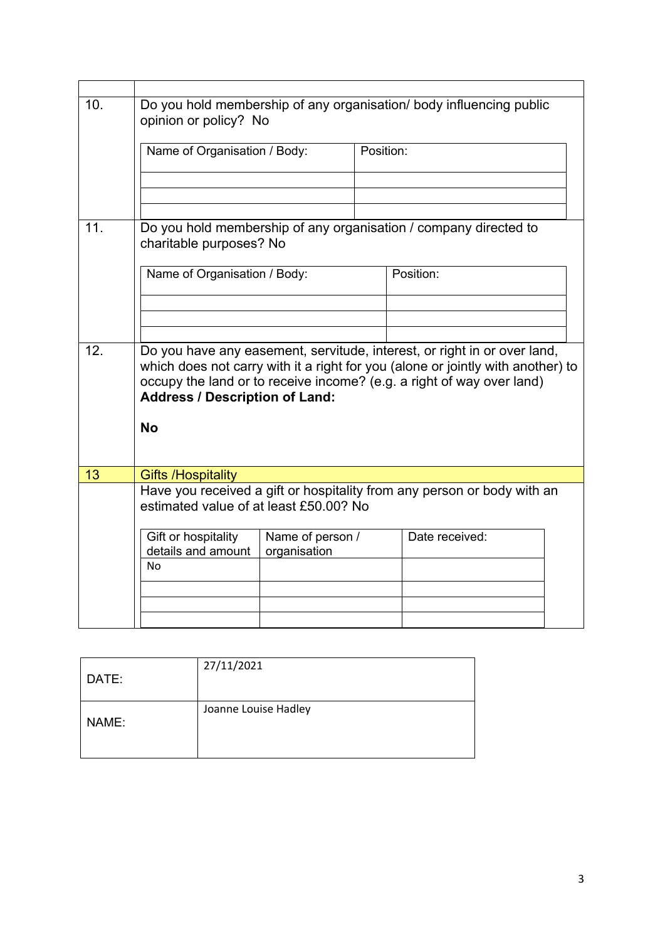| 10. | Do you hold membership of any organisation/ body influencing public<br>opinion or policy? No                                                                                                                                                                                  |                                  |           |                |  |
|-----|-------------------------------------------------------------------------------------------------------------------------------------------------------------------------------------------------------------------------------------------------------------------------------|----------------------------------|-----------|----------------|--|
|     | Name of Organisation / Body:                                                                                                                                                                                                                                                  |                                  | Position: |                |  |
|     |                                                                                                                                                                                                                                                                               |                                  |           |                |  |
| 11. | Do you hold membership of any organisation / company directed to<br>charitable purposes? No                                                                                                                                                                                   |                                  |           |                |  |
|     | Name of Organisation / Body:                                                                                                                                                                                                                                                  |                                  | Position: |                |  |
|     |                                                                                                                                                                                                                                                                               |                                  |           |                |  |
| 12. | Do you have any easement, servitude, interest, or right in or over land,<br>which does not carry with it a right for you (alone or jointly with another) to<br>occupy the land or to receive income? (e.g. a right of way over land)<br><b>Address / Description of Land:</b> |                                  |           |                |  |
|     | <b>No</b>                                                                                                                                                                                                                                                                     |                                  |           |                |  |
| 13  | <b>Gifts /Hospitality</b>                                                                                                                                                                                                                                                     |                                  |           |                |  |
|     | Have you received a gift or hospitality from any person or body with an<br>estimated value of at least £50,00? No                                                                                                                                                             |                                  |           |                |  |
|     | Gift or hospitality<br>details and amount<br>No                                                                                                                                                                                                                               | Name of person /<br>organisation |           | Date received: |  |
|     |                                                                                                                                                                                                                                                                               |                                  |           |                |  |
|     |                                                                                                                                                                                                                                                                               |                                  |           |                |  |

| DATE: | 27/11/2021           |
|-------|----------------------|
| NAME: | Joanne Louise Hadley |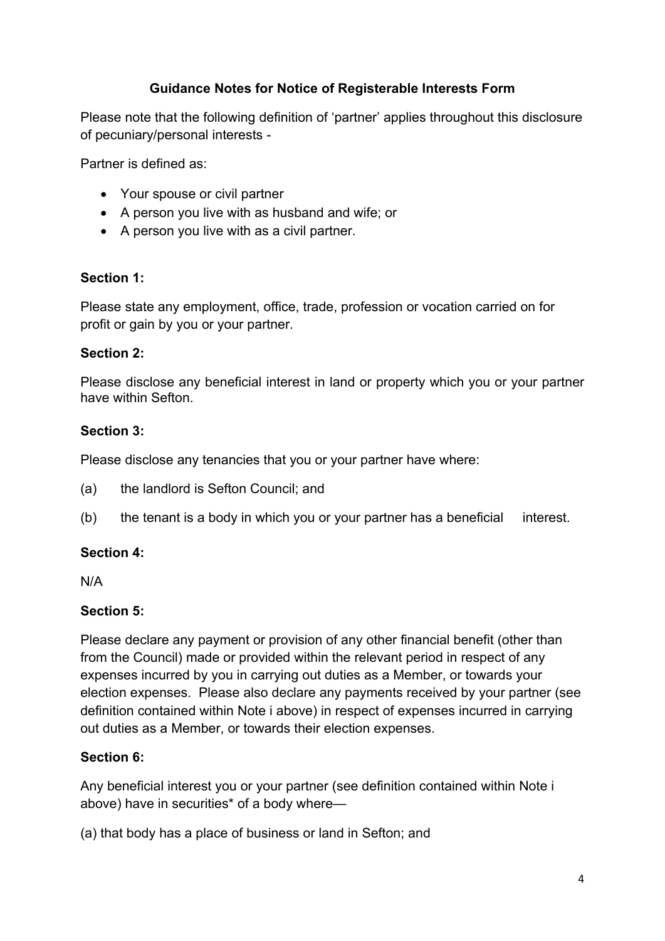### **Guidance Notes for Notice of Registerable Interests Form**

Please note that the following definition of 'partner' applies throughout this disclosure of pecuniary/personal interests -

Partner is defined as:

- Your spouse or civil partner
- A person you live with as husband and wife; or
- A person you live with as a civil partner.

### **Section 1:**

Please state any employment, office, trade, profession or vocation carried on for profit or gain by you or your partner.

### **Section 2:**

Please disclose any beneficial interest in land or property which you or your partner have within Sefton.

### **Section 3:**

Please disclose any tenancies that you or your partner have where:

- (a) the landlord is Sefton Council; and
- (b) the tenant is a body in which you or your partner has a beneficial interest.

### **Section 4:**

N/A

### **Section 5:**

Please declare any payment or provision of any other financial benefit (other than from the Council) made or provided within the relevant period in respect of any expenses incurred by you in carrying out duties as a Member, or towards your election expenses. Please also declare any payments received by your partner (see definition contained within Note i above) in respect of expenses incurred in carrying out duties as a Member, or towards their election expenses.

### **Section 6:**

Any beneficial interest you or your partner (see definition contained within Note i above) have in securities\* of a body where—

(a) that body has a place of business or land in Sefton; and